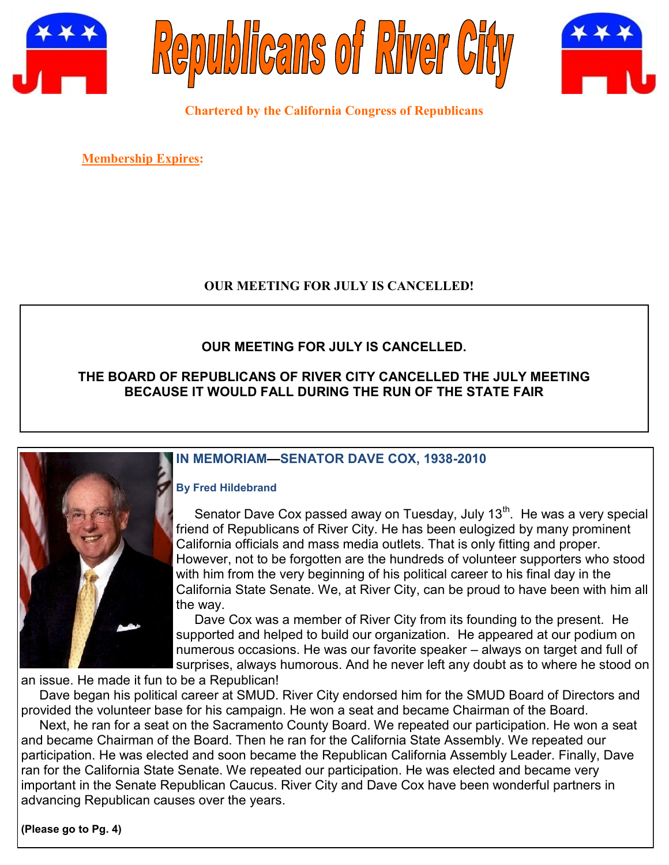





**Chartered by the California Congress of Republicans**

**Membership Expires:** 

# **OUR MEETING FOR JULY IS CANCELLED!**

# **OUR MEETING FOR JULY IS CANCELLED.**

## **THE BOARD OF REPUBLICANS OF RIVER CITY CANCELLED THE JULY MEETING BECAUSE IT WOULD FALL DURING THE RUN OF THE STATE FAIR**



# **IN MEMORIAM—SENATOR DAVE COX, 1938-2010**

#### **By Fred Hildebrand**

Senator Dave Cox passed away on Tuesday, July  $13<sup>th</sup>$ . He was a very special friend of Republicans of River City. He has been eulogized by many prominent California officials and mass media outlets. That is only fitting and proper. However, not to be forgotten are the hundreds of volunteer supporters who stood with him from the very beginning of his political career to his final day in the California State Senate. We, at River City, can be proud to have been with him all the way.

 Dave Cox was a member of River City from its founding to the present. He supported and helped to build our organization. He appeared at our podium on numerous occasions. He was our favorite speaker – always on target and full of surprises, always humorous. And he never left any doubt as to where he stood on

an issue. He made it fun to be a Republican!

 Dave began his political career at SMUD. River City endorsed him for the SMUD Board of Directors and provided the volunteer base for his campaign. He won a seat and became Chairman of the Board.

 Next, he ran for a seat on the Sacramento County Board. We repeated our participation. He won a seat and became Chairman of the Board. Then he ran for the California State Assembly. We repeated our participation. He was elected and soon became the Republican California Assembly Leader. Finally, Dave ran for the California State Senate. We repeated our participation. He was elected and became very important in the Senate Republican Caucus. River City and Dave Cox have been wonderful partners in advancing Republican causes over the years.

**(Please go to Pg. 4)**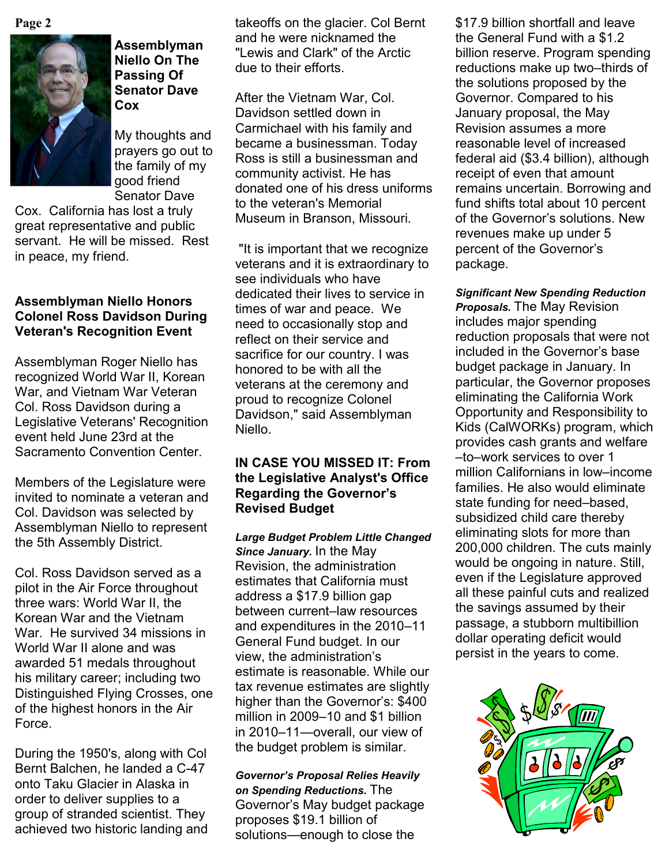

## **Assemblyman Niello On The Passing Of Senator Dave Cox**

My thoughts and prayers go out to the family of my good friend Senator Dave

Cox. California has lost a truly great representative and public servant. He will be missed. Rest in peace, my friend.

## **Assemblyman Niello Honors Colonel Ross Davidson During Veteran's Recognition Event**

Assemblyman Roger Niello has recognized World War II, Korean War, and Vietnam War Veteran Col. Ross Davidson during a Legislative Veterans' Recognition event held June 23rd at the Sacramento Convention Center.

Members of the Legislature were invited to nominate a veteran and Col. Davidson was selected by Assemblyman Niello to represent the 5th Assembly District.

Col. Ross Davidson served as a pilot in the Air Force throughout three wars: World War II, the Korean War and the Vietnam War. He survived 34 missions in World War II alone and was awarded 51 medals throughout his military career; including two Distinguished Flying Crosses, one of the highest honors in the Air Force.

During the 1950's, along with Col Bernt Balchen, he landed a C-47 onto Taku Glacier in Alaska in order to deliver supplies to a group of stranded scientist. They achieved two historic landing and

Page 2 **19 billion shortfall and leave** takeoffs on the glacier. Col Bernt 4517.9 billion shortfall and leave and he were nicknamed the "Lewis and Clark" of the Arctic due to their efforts.

> After the Vietnam War, Col. Davidson settled down in Carmichael with his family and became a businessman. Today Ross is still a businessman and community activist. He has donated one of his dress uniforms to the veteran's Memorial Museum in Branson, Missouri.

"It is important that we recognize veterans and it is extraordinary to see individuals who have dedicated their lives to service in times of war and peace. We need to occasionally stop and reflect on their service and sacrifice for our country. I was honored to be with all the veterans at the ceremony and proud to recognize Colonel Davidson," said Assemblyman Niello.

## **IN CASE YOU MISSED IT: From the Legislative Analyst's Office Regarding the Governor's Revised Budget**

*Large Budget Problem Little Changed Since January.* In the May Revision, the administration estimates that California must address a \$17.9 billion gap between current–law resources and expenditures in the 2010–11 General Fund budget. In our view, the administration's estimate is reasonable. While our tax revenue estimates are slightly higher than the Governor's: \$400 million in 2009–10 and \$1 billion in 2010–11—overall, our view of the budget problem is similar.

*Governor's Proposal Relies Heavily on Spending Reductions.* The Governor's May budget package proposes \$19.1 billion of solutions—enough to close the

the General Fund with a \$1.2 billion reserve. Program spending reductions make up two–thirds of the solutions proposed by the Governor. Compared to his January proposal, the May Revision assumes a more reasonable level of increased federal aid (\$3.4 billion), although receipt of even that amount remains uncertain. Borrowing and fund shifts total about 10 percent of the Governor's solutions. New revenues make up under 5 percent of the Governor's package.

*Significant New Spending Reduction Proposals.* The May Revision includes major spending reduction proposals that were not included in the Governor's base budget package in January. In particular, the Governor proposes eliminating the California Work Opportunity and Responsibility to Kids (CalWORKs) program, which provides cash grants and welfare –to–work services to over 1 million Californians in low–income families. He also would eliminate state funding for need–based, subsidized child care thereby eliminating slots for more than 200,000 children. The cuts mainly would be ongoing in nature. Still, even if the Legislature approved all these painful cuts and realized the savings assumed by their passage, a stubborn multibillion dollar operating deficit would persist in the years to come.

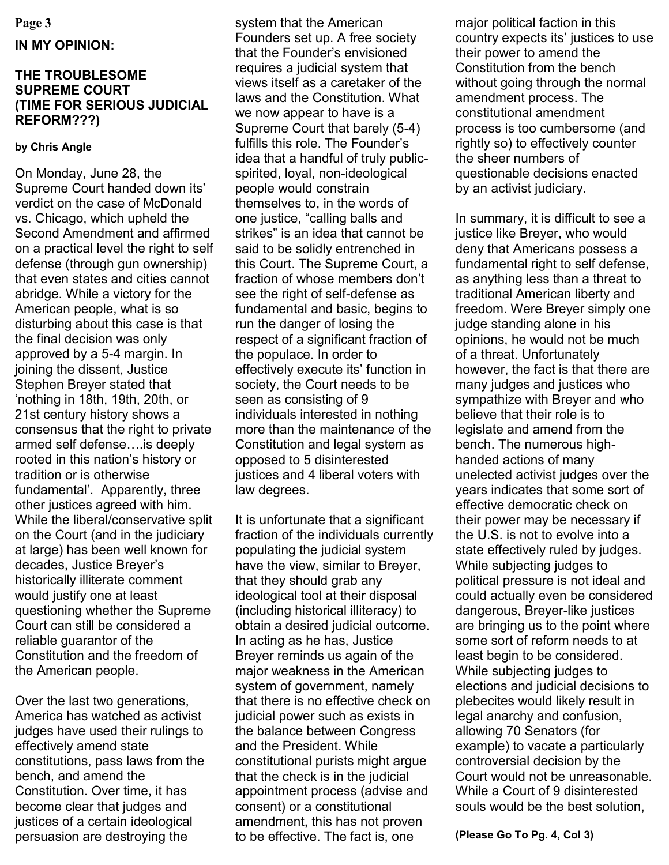#### **Page 3**

## **IN MY OPINION:**

## **THE TROUBLESOME SUPREME COURT (TIME FOR SERIOUS JUDICIAL REFORM???)**

### **by Chris Angle**

On Monday, June 28, the Supreme Court handed down its' verdict on the case of McDonald vs. Chicago, which upheld the Second Amendment and affirmed on a practical level the right to self defense (through gun ownership) that even states and cities cannot abridge. While a victory for the American people, what is so disturbing about this case is that the final decision was only approved by a 5-4 margin. In joining the dissent, Justice Stephen Breyer stated that ‗nothing in 18th, 19th, 20th, or 21st century history shows a consensus that the right to private armed self defense….is deeply rooted in this nation's history or tradition or is otherwise fundamental'. Apparently, three other justices agreed with him. While the liberal/conservative split on the Court (and in the judiciary at large) has been well known for decades, Justice Breyer's historically illiterate comment would justify one at least questioning whether the Supreme Court can still be considered a reliable guarantor of the Constitution and the freedom of the American people.

Over the last two generations, America has watched as activist judges have used their rulings to effectively amend state constitutions, pass laws from the bench, and amend the Constitution. Over time, it has become clear that judges and justices of a certain ideological persuasion are destroying the

system that the American Founders set up. A free society that the Founder's envisioned requires a judicial system that views itself as a caretaker of the laws and the Constitution. What we now appear to have is a Supreme Court that barely (5-4) fulfills this role. The Founder's idea that a handful of truly publicspirited, loyal, non-ideological people would constrain themselves to, in the words of one justice, "calling balls and strikes" is an idea that cannot be said to be solidly entrenched in this Court. The Supreme Court, a fraction of whose members don't see the right of self-defense as fundamental and basic, begins to run the danger of losing the respect of a significant fraction of the populace. In order to effectively execute its' function in society, the Court needs to be seen as consisting of 9 individuals interested in nothing more than the maintenance of the Constitution and legal system as opposed to 5 disinterested justices and 4 liberal voters with law degrees.

It is unfortunate that a significant fraction of the individuals currently populating the judicial system have the view, similar to Breyer, that they should grab any ideological tool at their disposal (including historical illiteracy) to obtain a desired judicial outcome. In acting as he has, Justice Breyer reminds us again of the major weakness in the American system of government, namely that there is no effective check on judicial power such as exists in the balance between Congress and the President. While constitutional purists might argue that the check is in the judicial appointment process (advise and consent) or a constitutional amendment, this has not proven to be effective. The fact is, one

major political faction in this country expects its' justices to use their power to amend the Constitution from the bench without going through the normal amendment process. The constitutional amendment process is too cumbersome (and rightly so) to effectively counter the sheer numbers of questionable decisions enacted by an activist judiciary.

In summary, it is difficult to see a justice like Breyer, who would deny that Americans possess a fundamental right to self defense, as anything less than a threat to traditional American liberty and freedom. Were Breyer simply one judge standing alone in his opinions, he would not be much of a threat. Unfortunately however, the fact is that there are many judges and justices who sympathize with Breyer and who believe that their role is to legislate and amend from the bench. The numerous highhanded actions of many unelected activist judges over the years indicates that some sort of effective democratic check on their power may be necessary if the U.S. is not to evolve into a state effectively ruled by judges. While subjecting judges to political pressure is not ideal and could actually even be considered dangerous, Breyer-like justices are bringing us to the point where some sort of reform needs to at least begin to be considered. While subjecting judges to elections and judicial decisions to plebecites would likely result in legal anarchy and confusion, allowing 70 Senators (for example) to vacate a particularly controversial decision by the Court would not be unreasonable. While a Court of 9 disinterested souls would be the best solution,

**(Please Go To Pg. 4, Col 3)**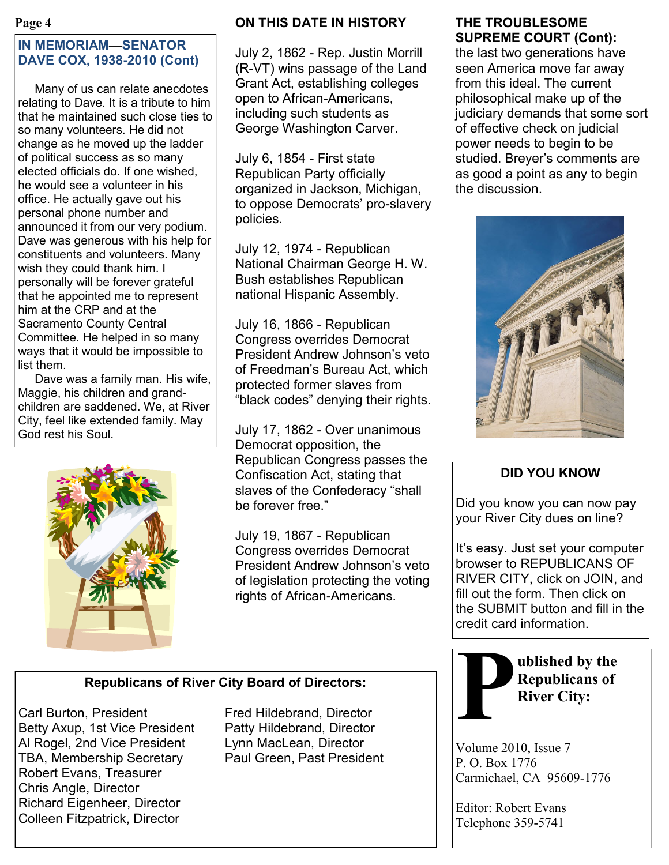#### **Page 4**

# **IN MEMORIAM**—**SENATOR DAVE COX, 1938-2010 (Cont)**

 Many of us can relate anecdotes relating to Dave. It is a tribute to him that he maintained such close ties to so many volunteers. He did not change as he moved up the ladder of political success as so many elected officials do. If one wished, he would see a volunteer in his office. He actually gave out his personal phone number and announced it from our very podium. Dave was generous with his help for constituents and volunteers. Many wish they could thank him. I personally will be forever grateful that he appointed me to represent him at the CRP and at the Sacramento County Central Committee. He helped in so many ways that it would be impossible to list them.

 Dave was a family man. His wife, Maggie, his children and grandchildren are saddened. We, at River City, feel like extended family. May God rest his Soul.



# **ON THIS DATE IN HISTORY**

July 2, 1862 - Rep. Justin Morrill (R-VT) wins passage of the Land Grant Act, establishing colleges open to African-Americans, including such students as George Washington Carver.

July 6, 1854 - First state Republican Party officially organized in Jackson, Michigan, to oppose Democrats' pro-slavery policies.

July 12, 1974 - Republican National Chairman George H. W. Bush establishes Republican national Hispanic Assembly.

July 16, 1866 - Republican Congress overrides Democrat President Andrew Johnson's veto of Freedman's Bureau Act, which protected former slaves from "black codes" denying their rights.

July 17, 1862 - Over unanimous Democrat opposition, the Republican Congress passes the Confiscation Act, stating that slaves of the Confederacy "shall be forever free."

July 19, 1867 - Republican Congress overrides Democrat President Andrew Johnson's veto of legislation protecting the voting rights of African-Americans.

## **THE TROUBLESOME SUPREME COURT (Cont):**

the last two generations have seen America move far away from this ideal. The current philosophical make up of the judiciary demands that some sort of effective check on judicial power needs to begin to be studied. Breyer's comments are as good a point as any to begin the discussion.



# **DID YOU KNOW**

Did you know you can now pay your River City dues on line?

It's easy. Just set your computer browser to REPUBLICANS OF RIVER CITY, click on JOIN, and fill out the form. Then click on the SUBMIT button and fill in the credit card information.



**ublished by the Republicans of River City:**

Volume 2010, Issue 7 P. O. Box 1776 Carmichael, CA 95609-1776

Editor: Robert Evans Telephone 359-5741

# **Republicans of River City Board of Directors:**

Carl Burton, President Fred Hildebrand, Director Betty Axup, 1st Vice President Patty Hildebrand, Director Al Rogel, 2nd Vice President Lynn MacLean, Director TBA, Membership Secretary Paul Green, Past President Robert Evans, Treasurer Chris Angle, Director Richard Eigenheer, Director Colleen Fitzpatrick, Director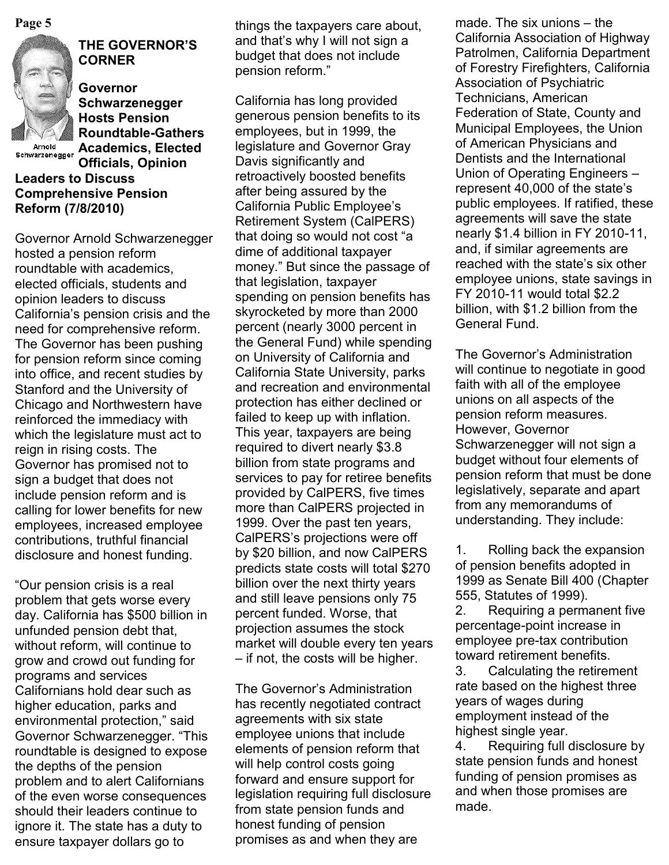

# **THE GOVERNOR'S CORNER**

**Governor Schwarzenegger Hosts Pension Roundtable-Gathers Academics, Elected Officials, Opinion** 

Schwarzenegger

# **Leaders to Discuss Comprehensive Pension Reform (7/8/2010)**

Governor Arnold Schwarzenegger hosted a pension reform roundtable with academics, elected officials, students and opinion leaders to discuss California's pension crisis and the need for comprehensive reform. The Governor has been pushing for pension reform since coming into office, and recent studies by Stanford and the University of Chicago and Northwestern have reinforced the immediacy with which the legislature must act to reign in rising costs. The Governor has promised not to sign a budget that does not include pension reform and is calling for lower benefits for new employees, increased employee contributions, truthful financial disclosure and honest funding.

―Our pension crisis is a real problem that gets worse every day. California has \$500 billion in unfunded pension debt that, without reform, will continue to grow and crowd out funding for programs and services Californians hold dear such as higher education, parks and environmental protection," said Governor Schwarzenegger. "This roundtable is designed to expose the depths of the pension problem and to alert Californians of the even worse consequences should their leaders continue to ignore it. The state has a duty to ensure taxpayer dollars go to

and that's why I will not sign a budget that does not include pension reform."

California has long provided generous pension benefits to its employees, but in 1999, the legislature and Governor Gray Davis significantly and retroactively boosted benefits after being assured by the California Public Employee's Retirement System (CalPERS) that doing so would not cost "a dime of additional taxpayer money." But since the passage of that legislation, taxpayer spending on pension benefits has skyrocketed by more than 2000 percent (nearly 3000 percent in the General Fund) while spending on University of California and California State University, parks and recreation and environmental protection has either declined or failed to keep up with inflation. This year, taxpayers are being required to divert nearly \$3.8 billion from state programs and services to pay for retiree benefits provided by CalPERS, five times more than CalPERS projected in 1999. Over the past ten years, CalPERS's projections were off by \$20 billion, and now CalPERS predicts state costs will total \$270 billion over the next thirty years and still leave pensions only 75 percent funded. Worse, that projection assumes the stock market will double every ten years – if not, the costs will be higher.

The Governor's Administration has recently negotiated contract agreements with six state employee unions that include elements of pension reform that will help control costs going forward and ensure support for legislation requiring full disclosure from state pension funds and honest funding of pension promises as and when they are

**Page 5** made. The six unions – the six unions – the six unions – the six unions – the six unions – the six unions – the six unions – the six unions – the six unions – the six unions – the six unions – the six unions – the California Association of Highway Patrolmen, California Department of Forestry Firefighters, California Association of Psychiatric Technicians, American Federation of State, County and Municipal Employees, the Union of American Physicians and Dentists and the International Union of Operating Engineers – represent 40,000 of the state's public employees. If ratified, these agreements will save the state nearly \$1.4 billion in FY 2010-11, and, if similar agreements are reached with the state's six other employee unions, state savings in FY 2010-11 would total \$2.2 billion, with \$1.2 billion from the General Fund.

> The Governor's Administration will continue to negotiate in good faith with all of the employee unions on all aspects of the pension reform measures. However, Governor Schwarzenegger will not sign a budget without four elements of pension reform that must be done legislatively, separate and apart from any memorandums of understanding. They include:

> 1. Rolling back the expansion of pension benefits adopted in 1999 as Senate Bill 400 (Chapter 555, Statutes of 1999).

2. Requiring a permanent five percentage-point increase in employee pre-tax contribution toward retirement benefits.

3. Calculating the retirement rate based on the highest three years of wages during employment instead of the highest single year.

4. Requiring full disclosure by state pension funds and honest funding of pension promises as and when those promises are made.